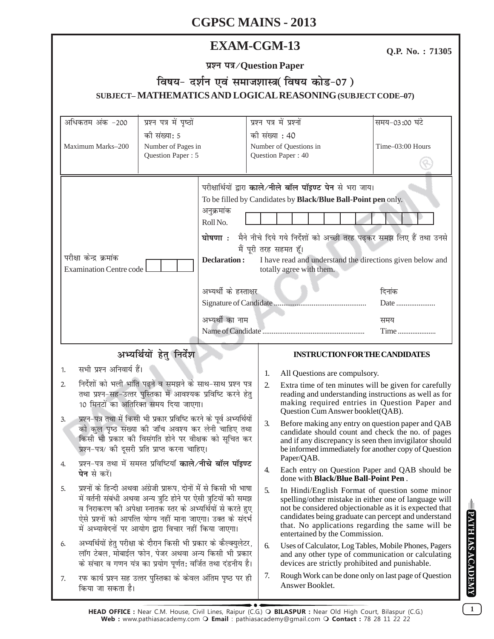# **EXAM-CGM-13**

Q.P. No.: 71305

प्रश्न पत्र/Question Paper

# विषय- दर्शन एवं समाजशास्त्र(विषय कोड-07) SUBJECT-MATHEMATICS AND LOGICAL REASONING (SUBJECT CODE-07)

| अधिकतम अंक -200                                                                                                                                                                                                                                                                                                                                                                                                             | प्रश्न पत्र में पृष्ठों                                                                   | प्रश्न पत्र में प्रश्नों             |                                                                                                                                                                                                                                                                                                                 | समय-03:00 घंटे                |
|-----------------------------------------------------------------------------------------------------------------------------------------------------------------------------------------------------------------------------------------------------------------------------------------------------------------------------------------------------------------------------------------------------------------------------|-------------------------------------------------------------------------------------------|--------------------------------------|-----------------------------------------------------------------------------------------------------------------------------------------------------------------------------------------------------------------------------------------------------------------------------------------------------------------|-------------------------------|
| की संख्या: 5<br>Maximum Marks-200<br>Number of Pages in<br>Question Paper: 5                                                                                                                                                                                                                                                                                                                                                |                                                                                           | की संख्या : 40<br>Question Paper: 40 | Number of Questions in                                                                                                                                                                                                                                                                                          | Time-03:00 Hours              |
| परीक्षा केन्द्र क्रमांक<br><b>Examination Centre code</b>                                                                                                                                                                                                                                                                                                                                                                   | अनुक्रमांक<br>Roll No.<br><b>Declaration:</b><br>अभ्यर्थी के हस्ताक्षर<br>अभ्यर्थी का नाम | मैं पूरी तरह सहमत हूँ।               | परीक्षार्थियों द्वारा काले/नीले बॉल पॉइण्ट पेन से भरा जाय।<br>To be filled by Candidates by Black/Blue Ball-Point pen only.<br>घोषणा : मैने नीचे दिये गये निर्देशों को अच्छी तरह पढ़कर समझ लिए हैं तथा उनसे<br>I have read and understand the directions given below and<br>totally agree with them.            | दिनांक<br>Date<br>समय<br>Time |
| अभ्यर्थियों हेतु निर्देश                                                                                                                                                                                                                                                                                                                                                                                                    |                                                                                           |                                      | <b>INSTRUCTION FOR THE CANDIDATES</b>                                                                                                                                                                                                                                                                           |                               |
| सभी प्रश्न अनिवार्य हैं।<br>1.                                                                                                                                                                                                                                                                                                                                                                                              |                                                                                           | 1.                                   | All Questions are compulsory.                                                                                                                                                                                                                                                                                   |                               |
| निर्देशों को भली भांति पढ़ने व समझने के साथ-साथ प्रश्न पत्र<br>2.<br>तथा प्रश्न-सह-उत्तर पुस्तिका में आवश्यक प्रविष्टि करने हेतु<br>10 मिनटों का अतिरिक्त समय दिया जाएगा।<br>प्रश्न-पत्र तथा में किसी भी प्रकार प्रविष्टि करने के पूर्व अभ्यर्थियों<br>3.<br>को कुल पृष्ठ संख्या की जाँच अवश्य कर लेनी चाहिए तथा<br>किसी भी प्रकार की विसंगति होने पर वीक्षक को सूचित कर<br>प्रश्न-पत्र/ की दूसरी प्रति प्राप्त करना चाहिए। |                                                                                           | 2.                                   | Extra time of ten minutes will be given for carefully<br>reading and understanding instructions as well as for<br>making required entries in Question Paper and<br>Question Cum Answer booklet(QAB).                                                                                                            |                               |
|                                                                                                                                                                                                                                                                                                                                                                                                                             |                                                                                           | 3.                                   | Before making any entry on question paper and QAB<br>candidate should count and check the no. of pages<br>and if any discrepancy is seen then invigilator should<br>be informed immediately for another copy of Question<br>Paper/QAB.                                                                          |                               |
| प्रश्न-पत्र तथा में समस्त प्रविष्टियाँ <b>काले/नीचे बॉल पॉइण्ट</b><br>4.<br>पेन से करें।                                                                                                                                                                                                                                                                                                                                    |                                                                                           | 4.                                   | Each entry on Question Paper and QAB should be<br>done with <b>Black/Blue Ball-Point Pen</b> .                                                                                                                                                                                                                  |                               |
| प्रश्नों के हिन्दी अथवा अंग्रेजी प्रारूप, दोनों में से किसी भी भाषा<br>5.<br>में वर्तनी संबंधी अथवा अन्य त्रुटि होने पर ऐसी त्रुटियों की समझ<br>व निराकरण की अपेक्षा स्नातक स्तर के अभ्यर्थियों से करते हुए<br>ऐसे प्रश्नों को आपत्ति योग्य नहीं माना जाएगा। उक्त के संदर्भ<br>में अभ्यावेदनों पर आयोग द्वारा विचार नहीं किया जाएगा।                                                                                        |                                                                                           | 5.                                   | In Hindi/English Format of question some minor<br>spelling/other mistake in either one of language will<br>not be considered objectionable as it is expected that<br>candidates being graduate can percept and understand<br>that. No applications regarding the same will be<br>entertained by the Commission. |                               |
| अभ्यर्थियों हेतु परीक्षा के दौरान किसी भी प्रकार के कैल्क्युलेटर,<br>6.<br>लॉग टेबल, मोबाईल फोन, पेजर अथवा अन्य किसी भी प्रकार<br>के संचार व गणन यंत्र का प्रयोग पूर्णत: वर्जित तथा दंडनीय है।                                                                                                                                                                                                                              |                                                                                           |                                      | Uses of Calculator, Log Tables, Mobile Phones, Pagers<br>and any other type of communication or calculating<br>devices are strictly prohibited and punishable.                                                                                                                                                  |                               |
| 7.                                                                                                                                                                                                                                                                                                                                                                                                                          | रफ कार्य प्रश्न सह उत्तर पुस्तिका के केवल अंतिम पृष्ठ पर ही<br>किया जा सकता है।           |                                      | Rough Work can be done only on last page of Question<br>Answer Booklet.                                                                                                                                                                                                                                         |                               |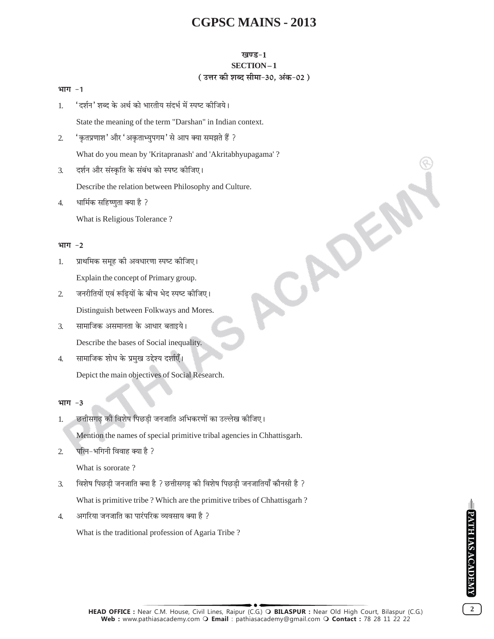### खण्ड-1 SECTION-1 (उत्तर की शब्द सीमा-30. अंक-02)

CADE

#### भाग -1

'दर्शन' शब्द के अर्थ को भारतीय संदर्भ में स्पष्ट कीजिये। 1.

State the meaning of the term "Darshan" in Indian context.

- ' कृतप्रणाश' और 'अकृताभ्युपगम' से आप क्या समझते हैं ?  $\overline{2}$ What do you mean by 'Kritapranash' and 'Akritabhyupagama' ?
- दर्शन और संस्कृति के संबंध को स्पष्ट कीजिए।  $\overline{3}$ .

Describe the relation between Philosophy and Culture.

धार्मिक सहिष्णुता क्या है ?  $\overline{4}$ . What is Religious Tolerance?

#### भाग -2

- प्राथमिक समूह की अवधारणा स्पष्ट कीजिए। 1. Explain the concept of Primary group.
- $\overline{2}$ जनरीतियों एवं रूढियों के बीच भेद स्पष्ट कीजिए। Distinguish between Folkways and Mores.
- सामाजिक असमानता के आधार बताइये। 3. Describe the bases of Social inequality.
- सामाजिक शोध के प्रमुख उद्देश्य दर्शाएँ।  $\overline{4}$

Depict the main objectives of Social Research.

#### भाग  $-3$

छत्तीसगढ की विशेष पिछडी जनजाति अभिकरणों का उल्लेख कीजिए। 1.

Mention the names of special primitive tribal agencies in Chhattisgarh.

पत्नि-भगिनी विवाह क्या है ?  $\overline{2}$ 

What is sororate?

विशेष पिछडी जनजाति क्या है ? छत्तीसगढ की विशेष पिछडी जनजातियाँ कौनसी है ?  $\overline{3}$ .

What is primitive tribe ? Which are the primitive tribes of Chhattisgarh ?

अगरिया जनजाति का पारंपरिक व्यवसाय क्या है ?  $\overline{4}$ .

What is the traditional profession of Agaria Tribe ?

PATH IAS ACADEMY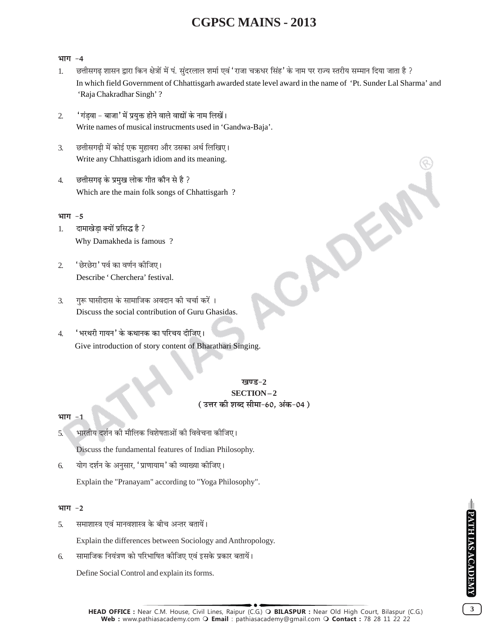#### भाग -4

- छत्तीसगढ़ शासन द्वारा किन क्षेत्रों में पं. सुंदरलाल शर्मा एवं 'राजा चक्रधर सिंह' के नाम पर राज्य स्तरीय सम्मान दिया जाता है ? 1. In which field Government of Chhattisgarh awarded state level award in the name of 'Pt. Sunder Lal Sharma' and 'Raja Chakradhar Singh'?
- 'गंड़वा बाजा' में प्रयुक्त होने वाले वाद्यों के नाम लिखें।  $\mathcal{L}$ Write names of musical instrucments used in 'Gandwa-Baja'.
- छत्तीसगढी में कोई एक मुहावरा और उसका अर्थ लिखिए।  $\overline{3}$ . Write any Chhattisgarh idiom and its meaning.
- छत्तीसगढ के प्रमुख लोक गीत कौन से है ?  $\overline{4}$ . Which are the main folk songs of Chhattisgarh?

#### भाग -5

- दामाखेडा क्यों प्रसिद्ध है ?  $\mathbf{1}$ Why Damakheda is famous?
- 'छेरछेरा' पर्व का वर्णन कोजिए।  $\mathcal{L}$ Describe 'Cherchera' festival.
- गुरू घासीदास के सामाजिक अवदान की चर्चा करें ।  $\mathcal{F}_{\mathcal{L}}$ Discuss the social contribution of Guru Ghasidas.
- 'भरथरी गायन' के कथानक का परिचय दीजिए।  $\overline{4}$ . Give introduction of story content of Bharathari Singing.

### <u>ਸ਼ਕਾਰ – 2</u> SECTION-2 ( उत्तर की शब्द सीमा-60, अंक-04 )

CADE

#### भाग  $-1$

भारतीय दर्शन की मौलिक विशेषताओं की विवेचना कीजिए।  $5^{\circ}$ 

Discuss the fundamental features of Indian Philosophy.

योग दर्शन के अनुसार, 'प्राणायाम' की व्याख्या कीजिए। 6. Explain the "Pranayam" according to "Yoga Philosophy".

#### भाग $-2$

समाशास्त्र एवं मानवशास्त्र के बीच अन्तर बतायें। 5.

Explain the differences between Sociology and Anthropology.

सामाजिक नियंत्रण को परिभाषित कीजिए एवं इसके प्रकार बतायें। 6.

Define Social Control and explain its forms.

 $\overline{3}$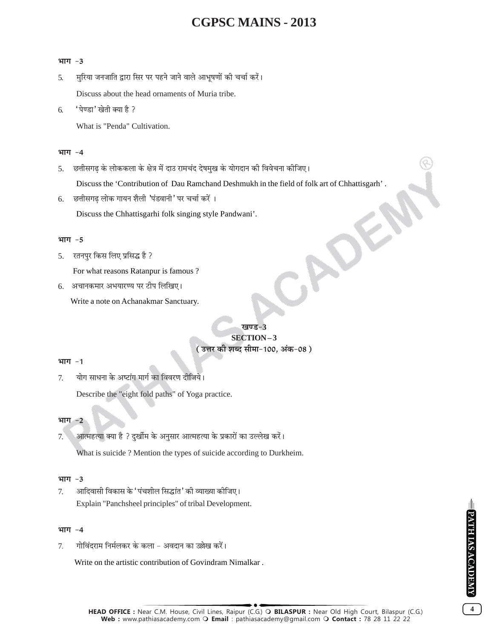#### भाग $-3$

- मुरिया जनजाति द्वारा सिर पर पहने जाने वाले आभूषणों की चर्चा करें।  $\overline{5}$ . Discuss about the head ornaments of Muria tribe.
- 'पेण्डा' खेती क्या है ? 6.

What is "Penda" Cultivation.

#### भाग $-4$

छत्तीसगढ के लोककला के क्षेत्र में दाउ रामचंद देषमुख के योगदान की विवेचना कीजिए।  $5<sub>1</sub>$ 

Discuss the 'Contribution of Dau Ramchand Deshmukh in the field of folk art of Chhattisgarh'.

6. छत्तीसगढ़ लोक गायन शैली 'पंडवानी' पर चर्चा करें।

Discuss the Chhattisgarhi folk singing style Pandwani'.

#### भाग $-5$

रतनपुर किस लिए प्रसिद्ध है ? 5.

For what reasons Ratanpur is famous ?

6. अचानकमार अभयारण्य पर टीप लिखिए।

Write a note on Achanakmar Sanctuary.

## खण्ड-3 SECTION-3 (उत्तर की शब्द सीमा-100, अंक-08)

#### भाग -1

योग साधना के अष्टांग मार्ग का विवरण दीजिये।  $7<sub>1</sub>$ 

Describe the "eight fold paths" of Yoga practice.

#### भाग  $-2$

आत्महत्या क्या है ? दुर्खीम के अनुसार आत्महत्या के प्रकारों का उल्लेख करें। 7.

What is suicide? Mention the types of suicide according to Durkheim.

### भाग $-3$

आदिवासी विकास के 'पंचशील सिद्धांत' की व्याख्या कीजिए। 7. Explain "Panchsheel principles" of tribal Development.

### भाग $-4$

गोविंदराम निर्मलकर के कला – अवदान का उल्लेख करें। 7.

Write on the artistic contribution of Govindram Nimalkar.